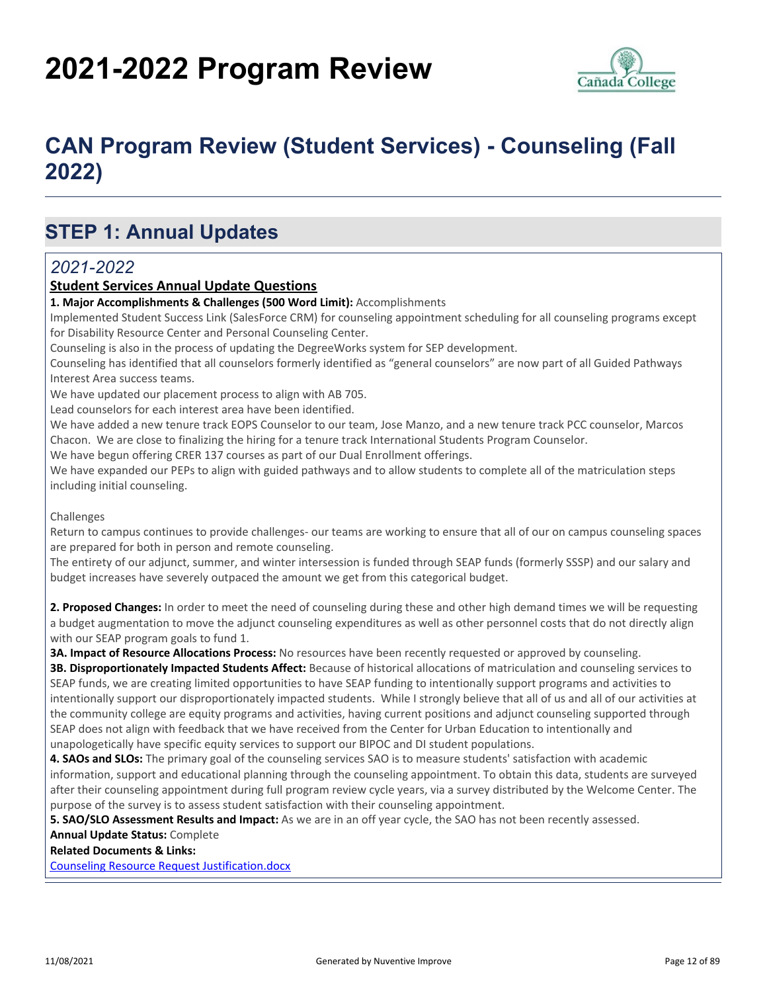# **2021-2022 Program Review**



## **CAN Program Review (Student Services) - Counseling (Fall 2022)**

## **STEP 1: Annual Updates**

### *2021-2022*

#### **Student Services Annual Update Questions**

**1. Major Accomplishments & Challenges (500 Word Limit):** Accomplishments

Implemented Student Success Link (SalesForce CRM) for counseling appointment scheduling for all counseling programs except for Disability Resource Center and Personal Counseling Center.

Counseling is also in the process of updating the DegreeWorks system for SEP development.

Counseling has identified that all counselors formerly identified as "general counselors" are now part of all Guided Pathways Interest Area success teams.

We have updated our placement process to align with AB 705.

Lead counselors for each interest area have been identified.

We have added a new tenure track EOPS Counselor to our team, Jose Manzo, and a new tenure track PCC counselor, Marcos Chacon. We are close to finalizing the hiring for a tenure track International Students Program Counselor.

We have begun offering CRER 137 courses as part of our Dual Enrollment offerings.

We have expanded our PEPs to align with guided pathways and to allow students to complete all of the matriculation steps including initial counseling.

#### Challenges

Return to campus continues to provide challenges- our teams are working to ensure that all of our on campus counseling spaces are prepared for both in person and remote counseling.

The entirety of our adjunct, summer, and winter intersession is funded through SEAP funds (formerly SSSP) and our salary and budget increases have severely outpaced the amount we get from this categorical budget.

**2. Proposed Changes:** In order to meet the need of counseling during these and other high demand times we will be requesting a budget augmentation to move the adjunct counseling expenditures as well as other personnel costs that do not directly align with our SEAP program goals to fund 1.

**3A. Impact of Resource Allocations Process:** No resources have been recently requested or approved by counseling.

**3B. Disproportionately Impacted Students Affect:** Because of historical allocations of matriculation and counseling services to SEAP funds, we are creating limited opportunities to have SEAP funding to intentionally support programs and activities to intentionally support our disproportionately impacted students. While I strongly believe that all of us and all of our activities at the community college are equity programs and activities, having current positions and adjunct counseling supported through SEAP does not align with feedback that we have received from the Center for Urban Education to intentionally and unapologetically have specific equity services to support our BIPOC and DI student populations.

**4. SAOs and SLOs:** The primary goal of the counseling services SAO is to measure students' satisfaction with academic information, support and educational planning through the counseling appointment. To obtain this data, students are surveyed after their counseling appointment during full program review cycle years, via a survey distributed by the Welcome Center. The purpose of the survey is to assess student satisfaction with their counseling appointment.

**5. SAO/SLO Assessment Results and Impact:** As we are in an off year cycle, the SAO has not been recently assessed.

**Annual Update Status:** Complete

**Related Documents & Links:**

[Counseling Resource Request Justification.docx](https://sanmateo.improve.nuventive.com:443/tracdat/viewDocument?y=V5Na1IJMa8VR)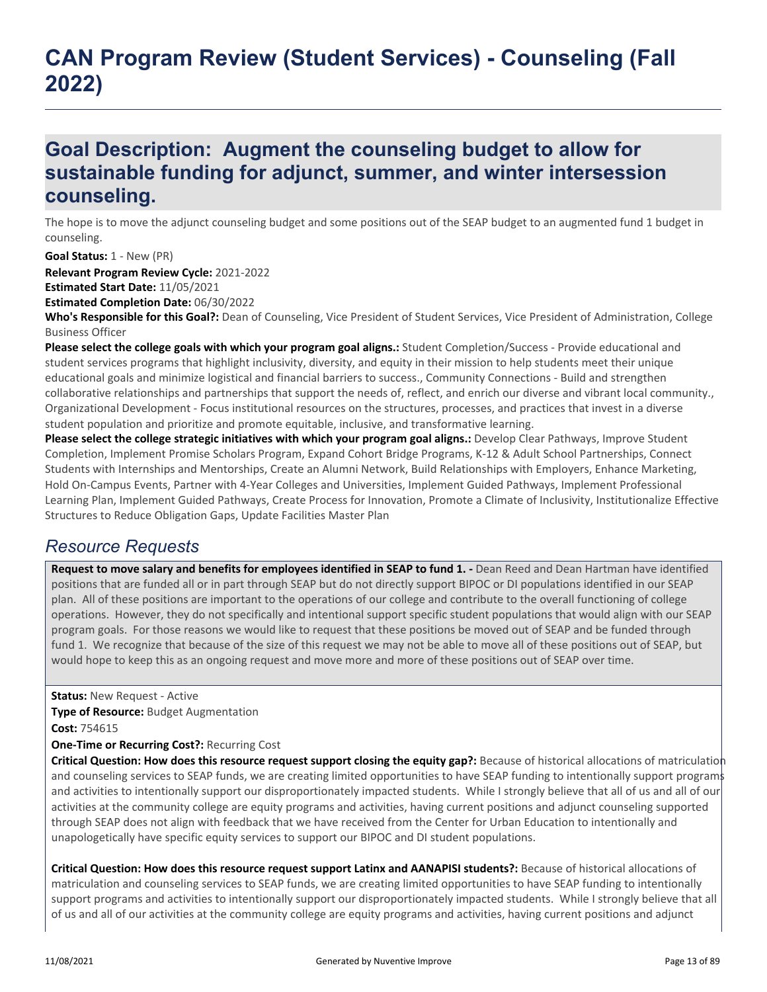## **CAN Program Review (Student Services) - Counseling (Fall 2022)**

### **Goal Description: Augment the counseling budget to allow for sustainable funding for adjunct, summer, and winter intersession counseling.**

The hope is to move the adjunct counseling budget and some positions out of the SEAP budget to an augmented fund 1 budget in counseling.

**Relevant Program Review Cycle:** 2021-2022 **Estimated Start Date:** 11/05/2021 **Estimated Completion Date:** 06/30/2022 **Goal Status:** 1 - New (PR)

**Who's Responsible for this Goal?:** Dean of Counseling, Vice President of Student Services, Vice President of Administration, College Business Officer

**Please select the college goals with which your program goal aligns.:** Student Completion/Success - Provide educational and student services programs that highlight inclusivity, diversity, and equity in their mission to help students meet their unique educational goals and minimize logistical and financial barriers to success., Community Connections - Build and strengthen collaborative relationships and partnerships that support the needs of, reflect, and enrich our diverse and vibrant local community., Organizational Development - Focus institutional resources on the structures, processes, and practices that invest in a diverse student population and prioritize and promote equitable, inclusive, and transformative learning.

Please select the college strategic initiatives with which your program goal aligns.: Develop Clear Pathways, Improve Student Completion, Implement Promise Scholars Program, Expand Cohort Bridge Programs, K-12 & Adult School Partnerships, Connect Students with Internships and Mentorships, Create an Alumni Network, Build Relationships with Employers, Enhance Marketing, Hold On-Campus Events, Partner with 4-Year Colleges and Universities, Implement Guided Pathways, Implement Professional Learning Plan, Implement Guided Pathways, Create Process for Innovation, Promote a Climate of Inclusivity, Institutionalize Effective Structures to Reduce Obligation Gaps, Update Facilities Master Plan

### *Resource Requests*

Request to move salary and benefits for employees identified in SEAP to fund 1. - Dean Reed and Dean Hartman have identified positions that are funded all or in part through SEAP but do not directly support BIPOC or DI populations identified in our SEAP plan. All of these positions are important to the operations of our college and contribute to the overall functioning of college operations. However, they do not specifically and intentional support specific student populations that would align with our SEAP program goals. For those reasons we would like to request that these positions be moved out of SEAP and be funded through fund 1. We recognize that because of the size of this request we may not be able to move all of these positions out of SEAP, but would hope to keep this as an ongoing request and move more and more of these positions out of SEAP over time.

**Status:** New Request - Active

**Type of Resource:** Budget Augmentation

**Cost:** 754615

**One-Time or Recurring Cost?:** Recurring Cost

**Critical Question: How does this resource request support closing the equity gap?:** Because of historical allocations of matriculation and counseling services to SEAP funds, we are creating limited opportunities to have SEAP funding to intentionally support programs and activities to intentionally support our disproportionately impacted students. While I strongly believe that all of us and all of our activities at the community college are equity programs and activities, having current positions and adjunct counseling supported through SEAP does not align with feedback that we have received from the Center for Urban Education to intentionally and unapologetically have specific equity services to support our BIPOC and DI student populations.

**Critical Question: How does this resource request support Latinx and AANAPISI students?:** Because of historical allocations of matriculation and counseling services to SEAP funds, we are creating limited opportunities to have SEAP funding to intentionally support programs and activities to intentionally support our disproportionately impacted students. While I strongly believe that all of us and all of our activities at the community college are equity programs and activities, having current positions and adjunct